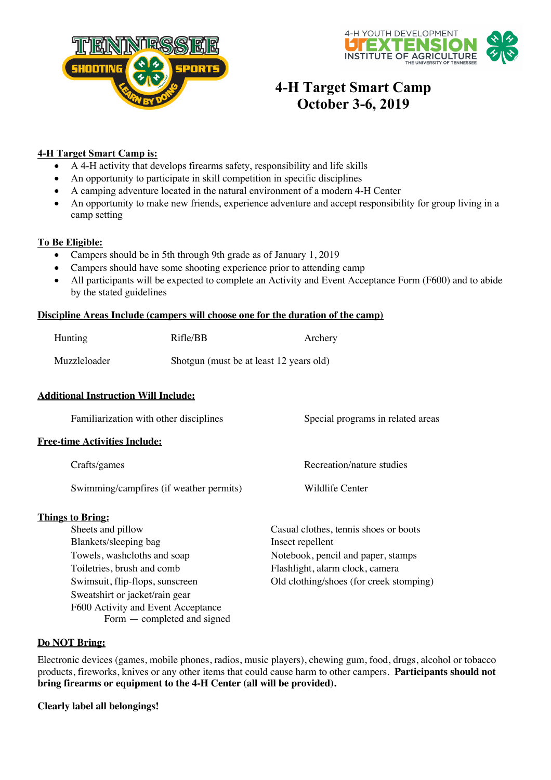



# **4-H Target Smart Camp October 3-6, 2019**

### **4-H Target Smart Camp is:**

- A 4-H activity that develops firearms safety, responsibility and life skills
- An opportunity to participate in skill competition in specific disciplines
- A camping adventure located in the natural environment of a modern 4-H Center
- An opportunity to make new friends, experience adventure and accept responsibility for group living in a camp setting

## **To Be Eligible:**

- Campers should be in 5th through 9th grade as of January 1, 2019
- Campers should have some shooting experience prior to attending camp
- All participants will be expected to complete an Activity and Event Acceptance Form (F600) and to abide by the stated guidelines

#### **Discipline Areas Include (campers will choose one for the duration of the camp)**

| Hunting      | Rifle/BB                                | Archery |
|--------------|-----------------------------------------|---------|
| Muzzleloader | Shotgun (must be at least 12 years old) |         |

### **Additional Instruction Will Include:**

| Familiarization with other disciplines  | Special programs in related areas     |  |
|-----------------------------------------|---------------------------------------|--|
| <b>Free-time Activities Include:</b>    |                                       |  |
| Crafts/games                            | Recreation/nature studies             |  |
| Swimming/campfires (if weather permits) | Wildlife Center                       |  |
| <b>Things to Bring:</b>                 |                                       |  |
| Sheets and pillow                       | Casual clothes, tennis shoes or boots |  |
| Blankets/sleeping bag                   | Insect repellent                      |  |
| Towels, washeloths and soap             | Notebook, pencil and paper, stamps    |  |

Sweatshirt or jacket/rain gear F600 Activity and Event Acceptance Form — completed and signed

Toiletries, brush and comb Flashlight, alarm clock, camera Swimsuit, flip-flops, sunscreen Old clothing/shoes (for creek stomping)

#### **Do NOT Bring:**

Electronic devices (games, mobile phones, radios, music players), chewing gum, food, drugs, alcohol or tobacco products, fireworks, knives or any other items that could cause harm to other campers. **Participants should not bring firearms or equipment to the 4-H Center (all will be provided).**

#### **Clearly label all belongings!**